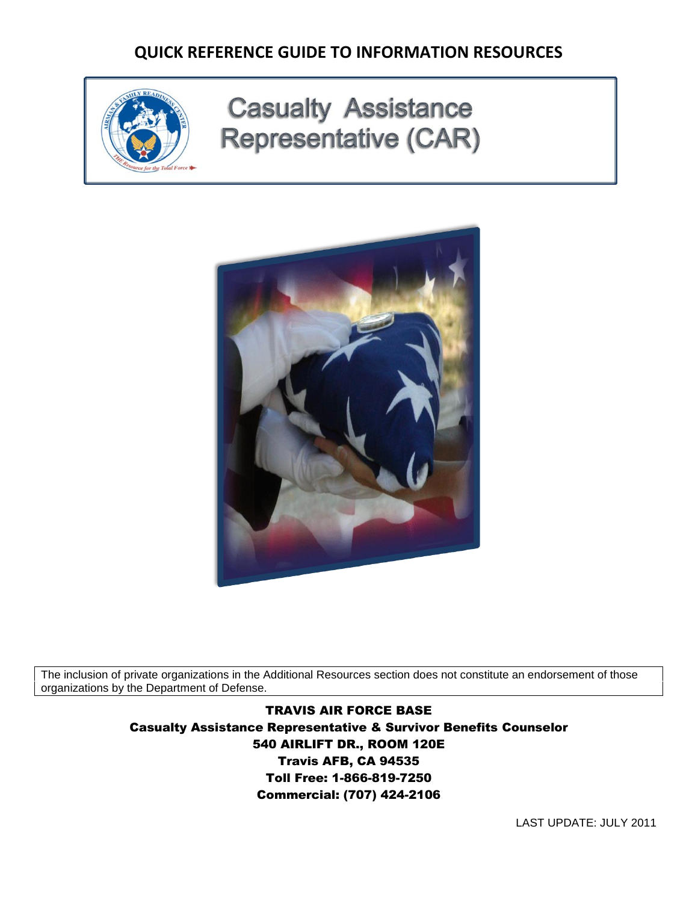

# **Casualty Assistance Representative (CAR)**



The inclusion of private organizations in the Additional Resources section does not constitute an endorsement of those organizations by the Department of Defense.

> TRAVIS AIR FORCE BASE Casualty Assistance Representative & Survivor Benefits Counselor 540 AIRLIFT DR., ROOM 120E Travis AFB, CA 94535 Toll Free: 1-866-819-7250 Commercial: (707) 424-2106

> > LAST UPDATE: JULY 2011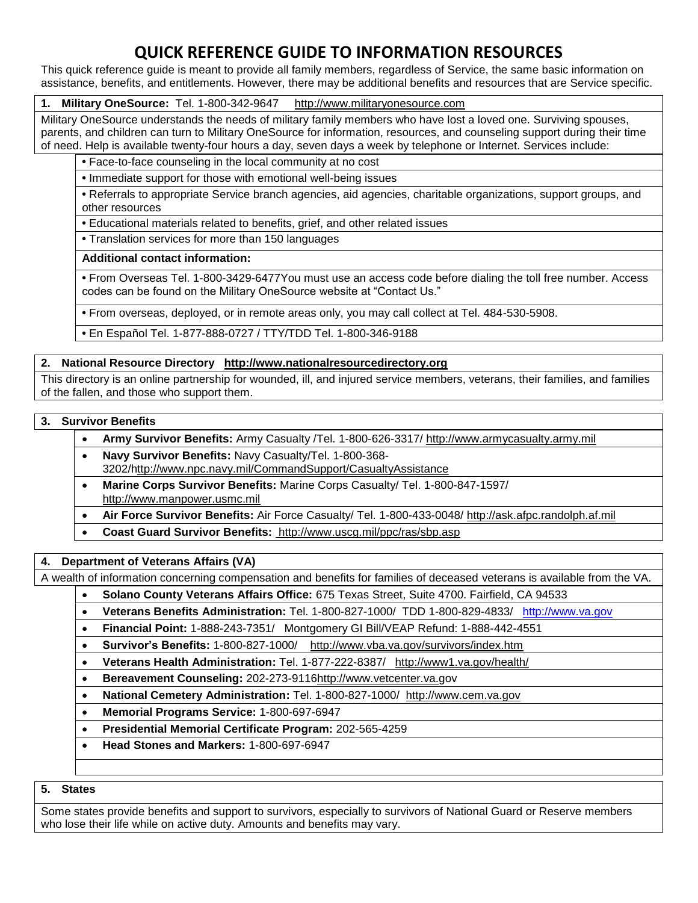This quick reference guide is meant to provide all family members, regardless of Service, the same basic information on assistance, benefits, and entitlements. However, there may be additional benefits and resources that are Service specific.

#### **1. Military OneSource:** Tel. 1-800-342-9647 http://www.militaryonesource.com

Military OneSource understands the needs of military family members who have lost a loved one. Surviving spouses, parents, and children can turn to Military OneSource for information, resources, and counseling support during their time of need. Help is available twenty-four hours a day, seven days a week by telephone or Internet. Services include:

**•** Face-to-face counseling in the local community at no cost

**•** Immediate support for those with emotional well-being issues

**•** Referrals to appropriate Service branch agencies, aid agencies, charitable organizations, support groups, and other resources

**•** Educational materials related to benefits, grief, and other related issues

**•** Translation services for more than 150 languages

#### **Additional contact information:**

**•** From Overseas Tel. 1-800-3429-6477You must use an access code before dialing the toll free number. Access codes can be found on the Military OneSource website at "Contact Us."

**•** From overseas, deployed, or in remote areas only, you may call collect at Tel. 484-530-5908.

**•** En Español Tel. 1-877-888-0727 / TTY/TDD Tel. 1-800-346-9188

#### **2. National Resource Directory http://www.nationalresourcedirectory.org**

This directory is an online partnership for wounded, ill, and injured service members, veterans, their families, and families of the fallen, and those who support them.

#### **3. Survivor Benefits**

- **Army Survivor Benefits:** Army Casualty /Tel. 1-800-626-3317/ http://www.armycasualty.army.mil
- **Navy Survivor Benefits:** Navy Casualty/Tel. 1-800-368-
- 3202/http://www.npc.navy.mil/CommandSupport/CasualtyAssistance
- **Marine Corps Survivor Benefits:** Marine Corps Casualty/ Tel. 1-800-847-1597/ http://www.manpower.usmc.mil
- **Air Force Survivor Benefits:** Air Force Casualty/ Tel. 1-800-433-0048/ http://ask.afpc.randolph.af.mil
- **Coast Guard Survivor Benefits:** http://www.uscg.mil/ppc/ras/sbp.asp

#### **4. Department of Veterans Affairs (VA)**

A wealth of information concerning compensation and benefits for families of deceased veterans is available from the VA.

- **Solano County Veterans Affairs Office:** 675 Texas Street, Suite 4700. Fairfield, CA 94533
- **Veterans Benefits Administration:** Tel. 1-800-827-1000/ TDD 1-800-829-4833/ [http://www.va.gov](http://www.va.gov/)
- **Financial Point:** 1-888-243-7351/ Montgomery GI Bill/VEAP Refund: 1-888-442-4551
- **Survivor's Benefits:** 1-800-827-1000/ http://www.vba.va.gov/survivors/index.htm
- **Veterans Health Administration:** Tel. 1-877-222-8387/ http://www1.va.gov/health/
- **Bereavement Counseling:** 202-273-9116http://www.vetcenter.va.gov
- **National Cemetery Administration:** Tel. 1-800-827-1000/ http://www.cem.va.gov
- **Memorial Programs Service:** 1-800-697-6947
- **Presidential Memorial Certificate Program:** 202-565-4259
- **Head Stones and Markers:** 1-800-697-6947

#### **5. States**

Some states provide benefits and support to survivors, especially to survivors of National Guard or Reserve members who lose their life while on active duty. Amounts and benefits may vary.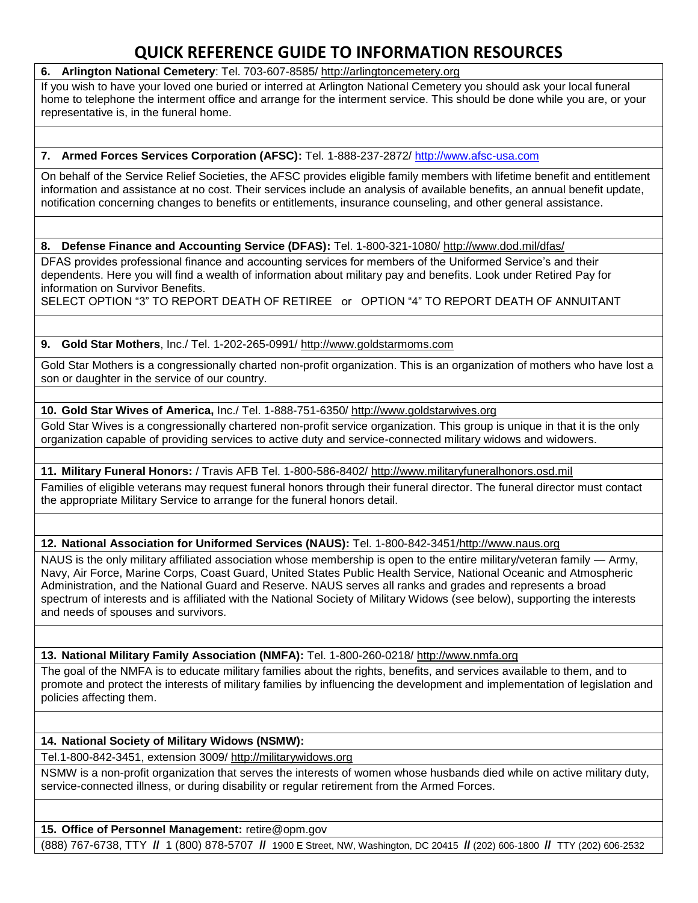**6. Arlington National Cemetery**: Tel. 703-607-8585/ http://arlingtoncemetery.org

If you wish to have your loved one buried or interred at Arlington National Cemetery you should ask your local funeral home to telephone the interment office and arrange for the interment service. This should be done while you are, or your representative is, in the funeral home.

#### **7. Armed Forces Services Corporation (AFSC):** Tel. 1-888-237-2872/ [http://www.afsc-usa.com](http://www.afsc-usa.com/)

On behalf of the Service Relief Societies, the AFSC provides eligible family members with lifetime benefit and entitlement information and assistance at no cost. Their services include an analysis of available benefits, an annual benefit update, notification concerning changes to benefits or entitlements, insurance counseling, and other general assistance.

**8. Defense Finance and Accounting Service (DFAS):** Tel. 1-800-321-1080/ http://www.dod.mil/dfas/

DFAS provides professional finance and accounting services for members of the Uniformed Service's and their dependents. Here you will find a wealth of information about military pay and benefits. Look under Retired Pay for information on Survivor Benefits.

SELECT OPTION "3" TO REPORT DEATH OF RETIREE or OPTION "4" TO REPORT DEATH OF ANNUITANT

#### **9. Gold Star Mothers**, Inc./ Tel. 1-202-265-0991/ http://www.goldstarmoms.com

Gold Star Mothers is a congressionally charted non-profit organization. This is an organization of mothers who have lost a son or daughter in the service of our country.

**10. Gold Star Wives of America,** Inc./ Tel. 1-888-751-6350/ http://www.goldstarwives.org

Gold Star Wives is a congressionally chartered non-profit service organization. This group is unique in that it is the only organization capable of providing services to active duty and service-connected military widows and widowers.

#### **11. Military Funeral Honors:** / Travis AFB Tel. 1-800-586-8402/ http://www.militaryfuneralhonors.osd.mil

Families of eligible veterans may request funeral honors through their funeral director. The funeral director must contact the appropriate Military Service to arrange for the funeral honors detail.

**12. National Association for Uniformed Services (NAUS):** Tel. 1-800-842-3451/http://www.naus.org

NAUS is the only military affiliated association whose membership is open to the entire military/veteran family — Army, Navy, Air Force, Marine Corps, Coast Guard, United States Public Health Service, National Oceanic and Atmospheric Administration, and the National Guard and Reserve. NAUS serves all ranks and grades and represents a broad spectrum of interests and is affiliated with the National Society of Military Widows (see below), supporting the interests and needs of spouses and survivors.

**13. National Military Family Association (NMFA):** Tel. 1-800-260-0218/ http://www.nmfa.org

The goal of the NMFA is to educate military families about the rights, benefits, and services available to them, and to promote and protect the interests of military families by influencing the development and implementation of legislation and policies affecting them.

#### **14. National Society of Military Widows (NSMW):**

Tel.1-800-842-3451, extension 3009/ http://militarywidows.org

NSMW is a non-profit organization that serves the interests of women whose husbands died while on active military duty, service-connected illness, or during disability or regular retirement from the Armed Forces.

**15. Office of Personnel Management:** retire@opm.gov

(888) 767-6738, TTY **//** 1 (800) 878-5707 **//** 1900 E Street, NW, Washington, DC 20415 **//** (202) 606-1800 **//** TTY (202) 606-2532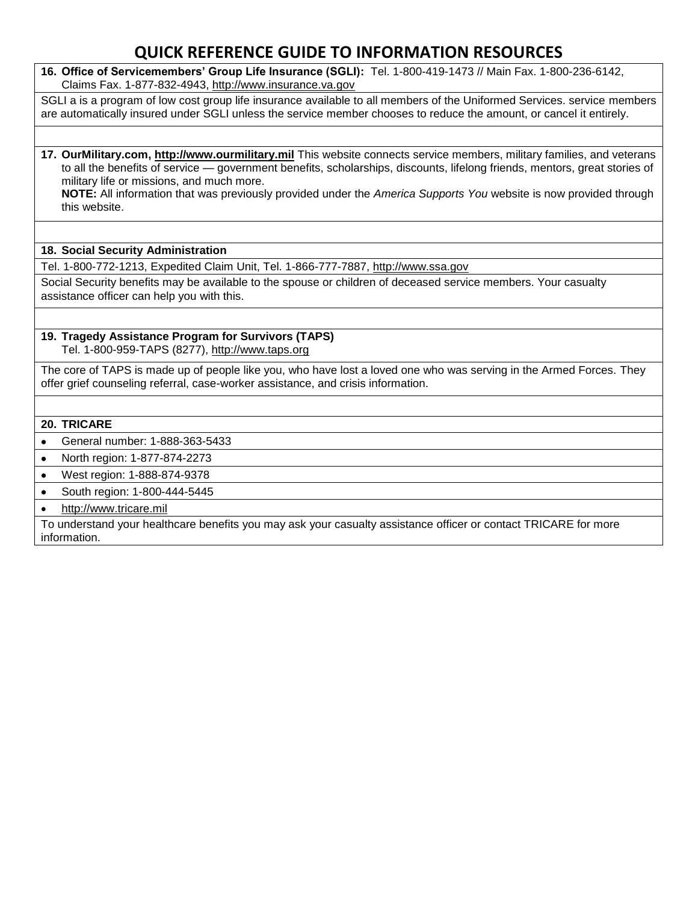**16. Office of Servicemembers' Group Life Insurance (SGLI):** Tel. 1-800-419-1473 // Main Fax. 1-800-236-6142, Claims Fax. 1-877-832-4943, http://www.insurance.va.gov

SGLI a is a program of low cost group life insurance available to all members of the Uniformed Services. service members are automatically insured under SGLI unless the service member chooses to reduce the amount, or cancel it entirely.

**17. OurMilitary.com, http://www.ourmilitary.mil** This website connects service members, military families, and veterans to all the benefits of service — government benefits, scholarships, discounts, lifelong friends, mentors, great stories of military life or missions, and much more.

**NOTE:** All information that was previously provided under the *America Supports You* website is now provided through this website.

#### **18. Social Security Administration**

Tel. 1-800-772-1213, Expedited Claim Unit, Tel. 1-866-777-7887, http://www.ssa.gov

Social Security benefits may be available to the spouse or children of deceased service members. Your casualty assistance officer can help you with this.

#### **19. Tragedy Assistance Program for Survivors (TAPS)**  Tel. 1-800-959-TAPS (8277), http://www.taps.org

The core of TAPS is made up of people like you, who have lost a loved one who was serving in the Armed Forces. They offer grief counseling referral, case-worker assistance, and crisis information.

#### **20. TRICARE**

- General number: 1-888-363-5433
- North region: 1-877-874-2273
- West region: 1-888-874-9378
- South region: 1-800-444-5445
- http://www.tricare.mil

To understand your healthcare benefits you may ask your casualty assistance officer or contact TRICARE for more information.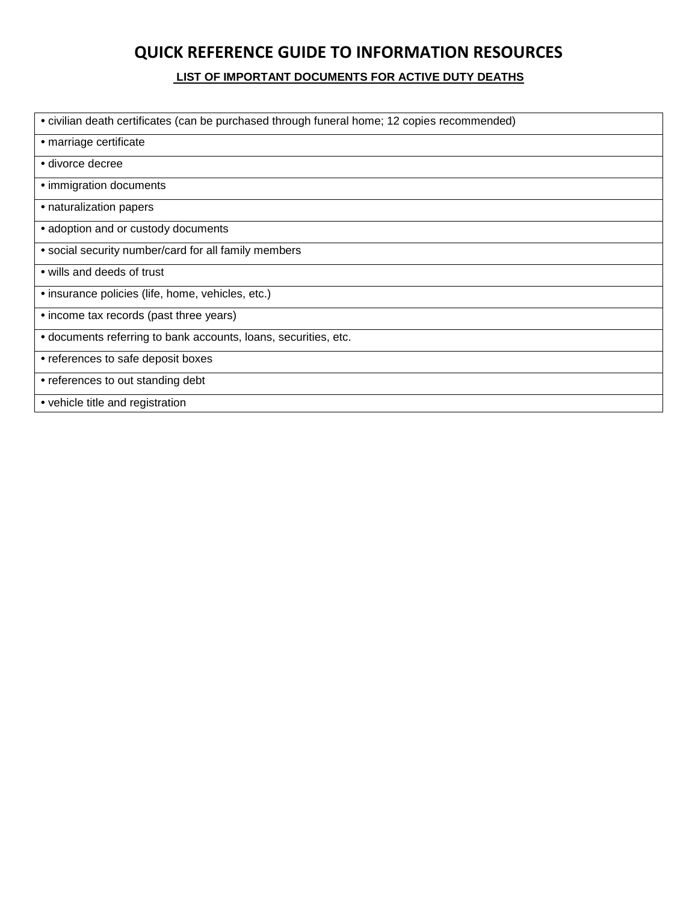**LIST OF IMPORTANT DOCUMENTS FOR ACTIVE DUTY DEATHS**

| • civilian death certificates (can be purchased through funeral home; 12 copies recommended) |
|----------------------------------------------------------------------------------------------|
| • marriage certificate                                                                       |
| • divorce decree                                                                             |
| • immigration documents                                                                      |
| • naturalization papers                                                                      |
| • adoption and or custody documents                                                          |
| • social security number/card for all family members                                         |
| • wills and deeds of trust                                                                   |
| • insurance policies (life, home, vehicles, etc.)                                            |
| • income tax records (past three years)                                                      |
| • documents referring to bank accounts, loans, securities, etc.                              |
| • references to safe deposit boxes                                                           |
| • references to out standing debt                                                            |
| • vehicle title and registration                                                             |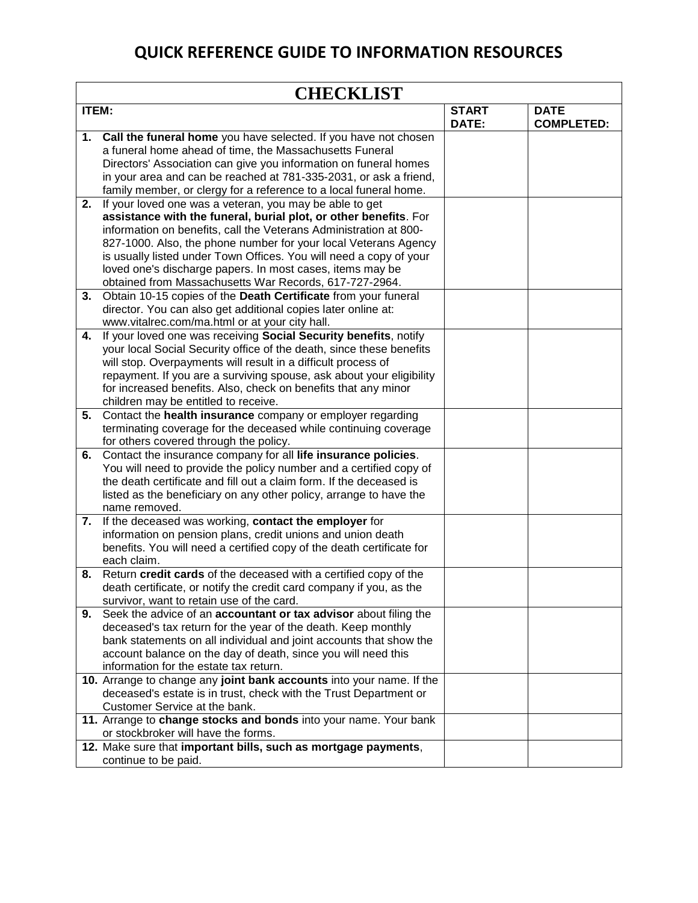| <b>CHECKLIST</b> |                                                                                                                                                                                                                                                                                                                                                                                                                                                                  |                       |                                  |  |
|------------------|------------------------------------------------------------------------------------------------------------------------------------------------------------------------------------------------------------------------------------------------------------------------------------------------------------------------------------------------------------------------------------------------------------------------------------------------------------------|-----------------------|----------------------------------|--|
| <b>ITEM:</b>     |                                                                                                                                                                                                                                                                                                                                                                                                                                                                  | <b>START</b><br>DATE: | <b>DATE</b><br><b>COMPLETED:</b> |  |
| 1.               | Call the funeral home you have selected. If you have not chosen<br>a funeral home ahead of time, the Massachusetts Funeral<br>Directors' Association can give you information on funeral homes<br>in your area and can be reached at 781-335-2031, or ask a friend,<br>family member, or clergy for a reference to a local funeral home.                                                                                                                         |                       |                                  |  |
| 2.               | If your loved one was a veteran, you may be able to get<br>assistance with the funeral, burial plot, or other benefits. For<br>information on benefits, call the Veterans Administration at 800-<br>827-1000. Also, the phone number for your local Veterans Agency<br>is usually listed under Town Offices. You will need a copy of your<br>loved one's discharge papers. In most cases, items may be<br>obtained from Massachusetts War Records, 617-727-2964. |                       |                                  |  |
| 3.               | Obtain 10-15 copies of the Death Certificate from your funeral<br>director. You can also get additional copies later online at:<br>www.vitalrec.com/ma.html or at your city hall.                                                                                                                                                                                                                                                                                |                       |                                  |  |
| 4.               | If your loved one was receiving Social Security benefits, notify<br>your local Social Security office of the death, since these benefits<br>will stop. Overpayments will result in a difficult process of<br>repayment. If you are a surviving spouse, ask about your eligibility<br>for increased benefits. Also, check on benefits that any minor<br>children may be entitled to receive.                                                                      |                       |                                  |  |
| 5.               | Contact the health insurance company or employer regarding<br>terminating coverage for the deceased while continuing coverage<br>for others covered through the policy.                                                                                                                                                                                                                                                                                          |                       |                                  |  |
| 6.               | Contact the insurance company for all life insurance policies.<br>You will need to provide the policy number and a certified copy of<br>the death certificate and fill out a claim form. If the deceased is<br>listed as the beneficiary on any other policy, arrange to have the<br>name removed.                                                                                                                                                               |                       |                                  |  |
| 7.               | If the deceased was working, contact the employer for<br>information on pension plans, credit unions and union death<br>benefits. You will need a certified copy of the death certificate for<br>each claim.                                                                                                                                                                                                                                                     |                       |                                  |  |
| 8.               | Return credit cards of the deceased with a certified copy of the<br>death certificate, or notify the credit card company if you, as the<br>survivor, want to retain use of the card.                                                                                                                                                                                                                                                                             |                       |                                  |  |
| 9.               | Seek the advice of an accountant or tax advisor about filing the<br>deceased's tax return for the year of the death. Keep monthly<br>bank statements on all individual and joint accounts that show the<br>account balance on the day of death, since you will need this<br>information for the estate tax return.                                                                                                                                               |                       |                                  |  |
|                  | 10. Arrange to change any joint bank accounts into your name. If the<br>deceased's estate is in trust, check with the Trust Department or<br>Customer Service at the bank.                                                                                                                                                                                                                                                                                       |                       |                                  |  |
|                  | 11. Arrange to change stocks and bonds into your name. Your bank<br>or stockbroker will have the forms.<br>12. Make sure that important bills, such as mortgage payments,<br>continue to be paid.                                                                                                                                                                                                                                                                |                       |                                  |  |